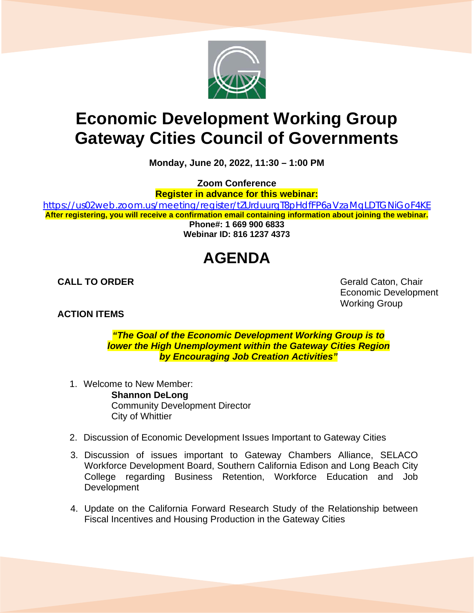

## **Economic Development Working Group Gateway Cities Council of Governments**

**Monday, June 20, 2022, 11:30 – 1:00 PM**

**Zoom Conference**

**Register in advance for this webinar:**

<https://us02web.zoom.us/meeting/register/tZUrduurqT8pHdfFP6aVzaMqLDTGNiGoF4KE> **After registering, you will receive a confirmation email containing information about joining the webinar. Phone#: 1 669 900 6833 Webinar ID: 816 1237 4373**

## **AGENDA**

**ACTION ITEMS**

**CALL TO ORDER** Gerald Caton, Chair Economic Development Working Group

> *"The Goal of the Economic Development Working Group is to lower the High Unemployment within the Gateway Cities Region by Encouraging Job Creation Activities"*

- 1. Welcome to New Member: **Shannon DeLong** Community Development Director City of Whittier
- 2. Discussion of Economic Development Issues Important to Gateway Cities
- 3. Discussion of issues important to Gateway Chambers Alliance, SELACO Workforce Development Board, Southern California Edison and Long Beach City College regarding Business Retention, Workforce Education and Job **Development**
- 4. Update on the California Forward Research Study of the Relationship between Fiscal Incentives and Housing Production in the Gateway Cities